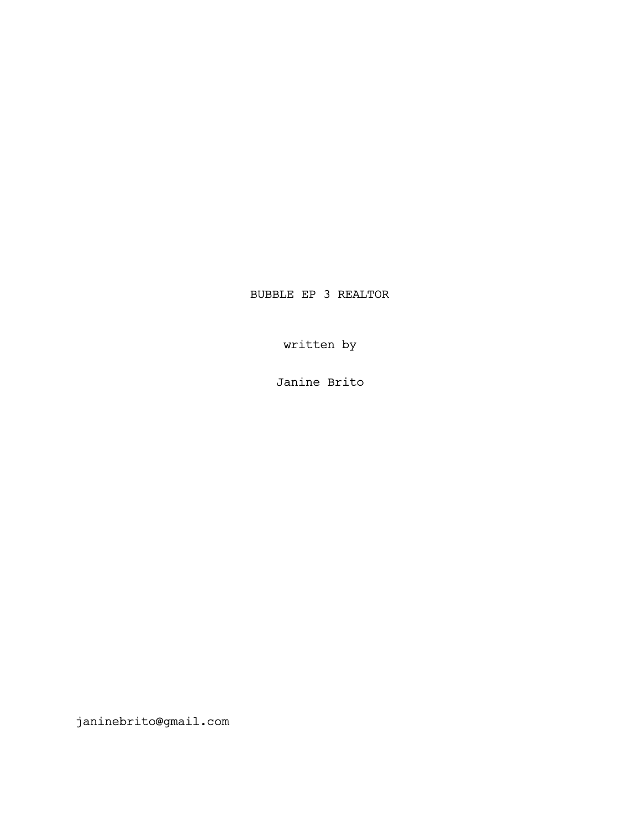BUBBLE EP 3 REALTOR

written by

Janine Brito

janinebrito@gmail.com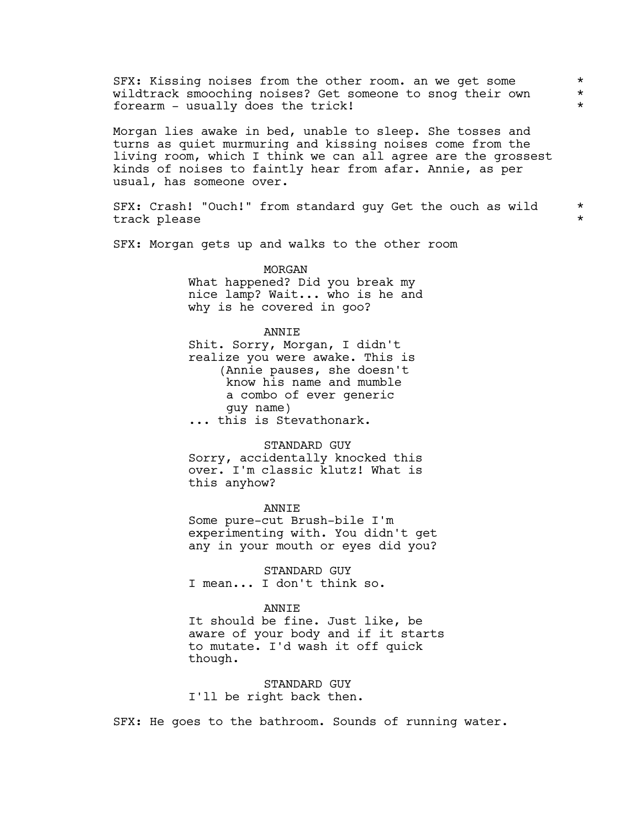SFX: Kissing noises from the other room. an we get some  $*$ <br>wildtrack smooching noises? Get someone to snog their own  $*$ wildtrack smooching noises? Get someone to snog their own \* forearm - usually does the trick! \*

Morgan lies awake in bed, unable to sleep. She tosses and turns as quiet murmuring and kissing noises come from the living room, which I think we can all agree are the grossest kinds of noises to faintly hear from afar. Annie, as per usual, has someone over.

SFX: Crash! "Ouch!" from standard guy Get the ouch as wild \* track please

SFX: Morgan gets up and walks to the other room

MORGAN What happened? Did you break my nice lamp? Wait... who is he and why is he covered in goo?

ANNIE Shit. Sorry, Morgan, I didn't realize you were awake. This is (Annie pauses, she doesn't know his name and mumble a combo of ever generic guy name) ... this is Stevathonark.

#### STANDARD GUY

Sorry, accidentally knocked this over. I'm classic klutz! What is this anyhow?

ANNIE

Some pure-cut Brush-bile I'm experimenting with. You didn't get any in your mouth or eyes did you?

STANDARD GUY I mean... I don't think so.

### **ANNTE**

It should be fine. Just like, be aware of your body and if it starts to mutate. I'd wash it off quick though.

STANDARD GUY I'll be right back then.

SFX: He goes to the bathroom. Sounds of running water.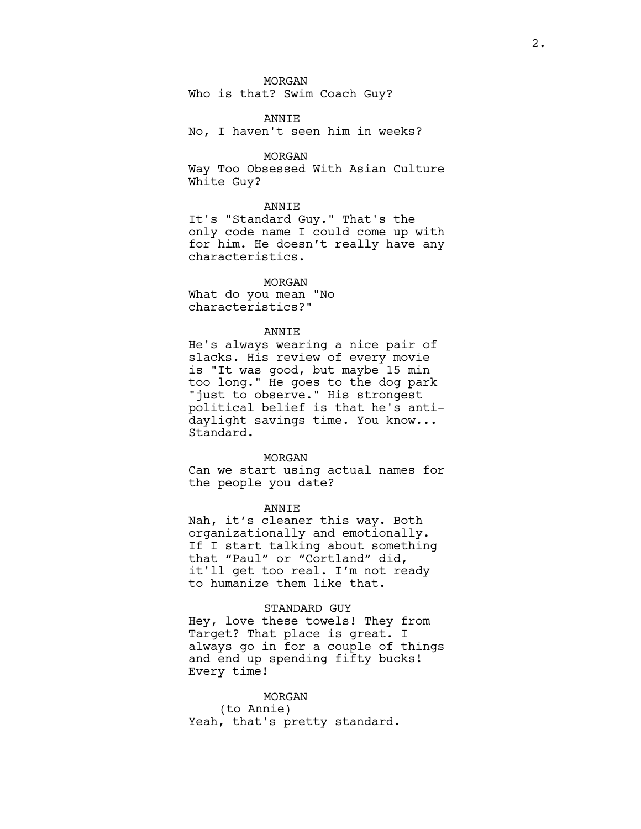### MORGAN

Who is that? Swim Coach Guy?

#### ANNIE

No, I haven't seen him in weeks?

#### MORGAN

Way Too Obsessed With Asian Culture White Guy?

### ANNIE

It's "Standard Guy." That's the only code name I could come up with for him. He doesn't really have any characteristics.

### MORGAN

What do you mean "No characteristics?"

#### ANNIE

He's always wearing a nice pair of slacks. His review of every movie is "It was good, but maybe 15 min too long." He goes to the dog park "just to observe." His strongest political belief is that he's antidaylight savings time. You know... Standard.

#### MORGAN

Can we start using actual names for the people you date?

#### ANNIE

Nah, it's cleaner this way. Both organizationally and emotionally. If I start talking about something that "Paul" or "Cortland" did, it'll get too real. I'm not ready to humanize them like that.

### STANDARD GUY

Hey, love these towels! They from Target? That place is great. I always go in for a couple of things and end up spending fifty bucks! Every time!

# MORGAN (to Annie) Yeah, that's pretty standard.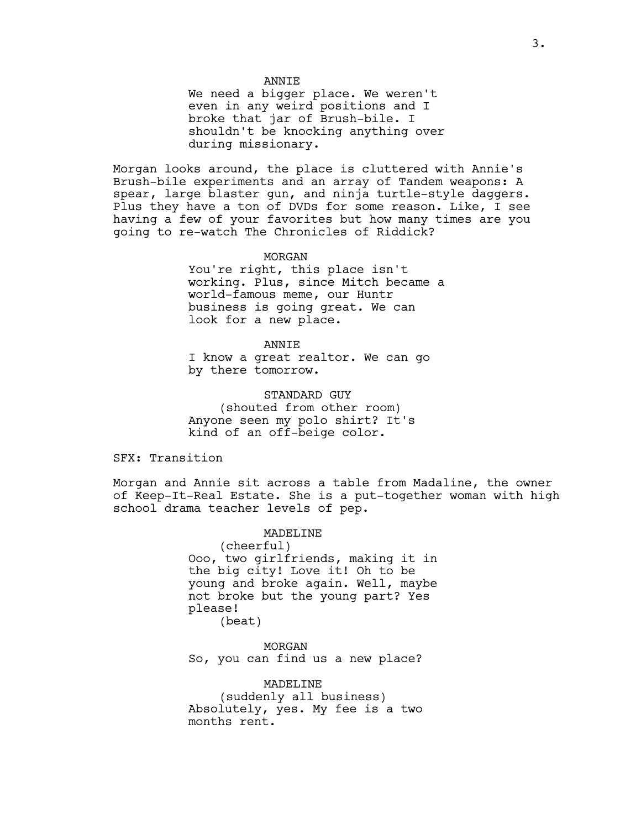### **ANNTE**

We need a bigger place. We weren't even in any weird positions and I broke that jar of Brush-bile. I shouldn't be knocking anything over during missionary.

Morgan looks around, the place is cluttered with Annie's Brush-bile experiments and an array of Tandem weapons: A spear, large blaster gun, and ninja turtle-style daggers. Plus they have a ton of DVDs for some reason. Like, I see having a few of your favorites but how many times are you going to re-watch The Chronicles of Riddick?

#### MORGAN

You're right, this place isn't working. Plus, since Mitch became a world-famous meme, our Huntr business is going great. We can look for a new place.

ANNIE I know a great realtor. We can go by there tomorrow.

STANDARD GUY (shouted from other room) Anyone seen my polo shirt? It's kind of an off-beige color.

SFX: Transition

Morgan and Annie sit across a table from Madaline, the owner of Keep-It-Real Estate. She is a put-together woman with high school drama teacher levels of pep.

> MADELINE (cheerful) Ooo, two girlfriends, making it in the big city! Love it! Oh to be young and broke again. Well, maybe not broke but the young part? Yes please! (beat)

MORGAN So, you can find us a new place?

MADELINE (suddenly all business) Absolutely, yes. My fee is a two months rent.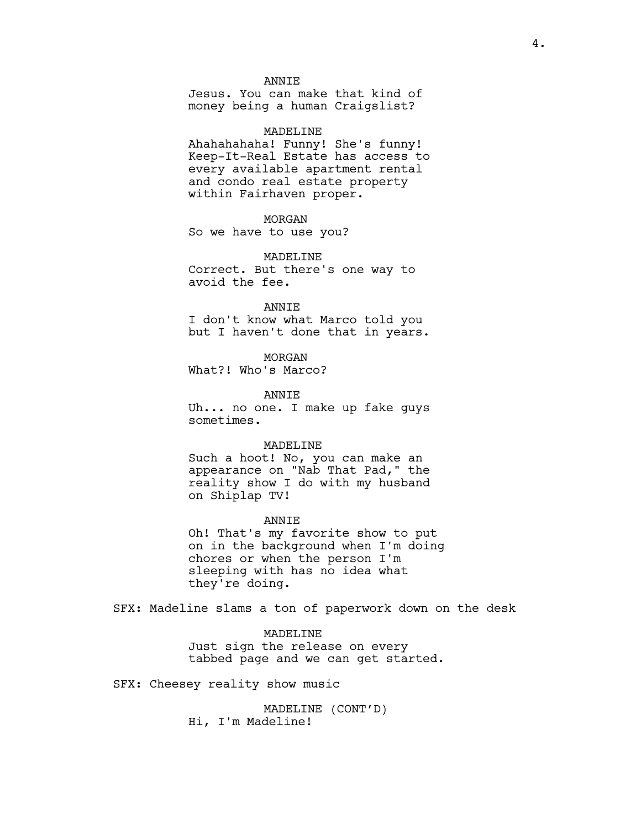### **ANNTE**

Jesus. You can make that kind of money being a human Craigslist?

#### MADELINE

Ahahahahaha! Funny! She's funny! Keep-It-Real Estate has access to every available apartment rental and condo real estate property within Fairhaven proper.

### MORGAN

So we have to use you?

MADELINE

Correct. But there's one way to avoid the fee.

#### ANNIE

I don't know what Marco told you but I haven't done that in years.

MORGAN

What?! Who's Marco?

#### ANNIE

Uh... no one. I make up fake guys sometimes.

#### MADELINE

Such a hoot! No, you can make an appearance on "Nab That Pad," the reality show I do with my husband on Shiplap TV!

#### ANNIE

Oh! That's my favorite show to put on in the background when I'm doing chores or when the person I'm sleeping with has no idea what they're doing.

SFX: Madeline slams a ton of paperwork down on the desk

### MADELINE

Just sign the release on every tabbed page and we can get started.

SFX: Cheesey reality show music

MADELINE (CONT'D) Hi, I'm Madeline!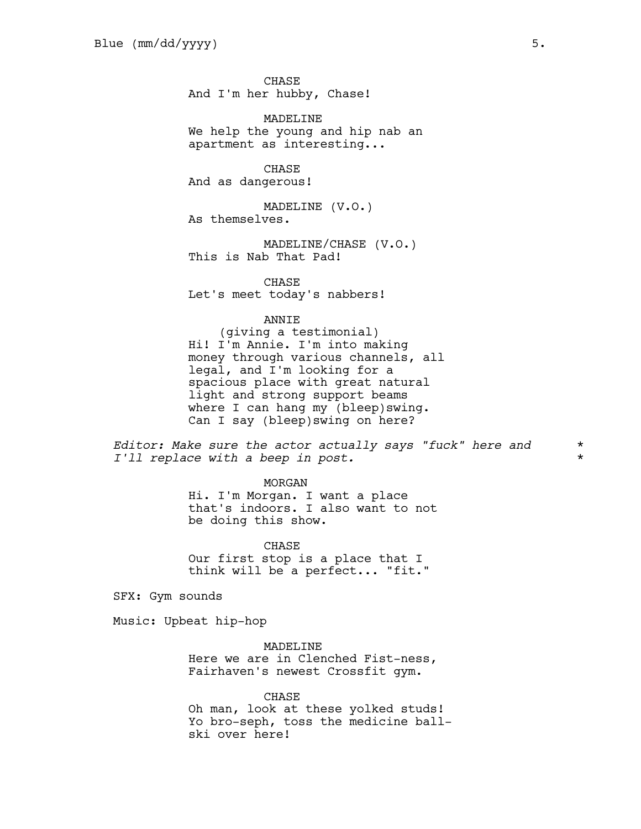**CHASE** And I'm her hubby, Chase!

MADELINE We help the young and hip nab an apartment as interesting...

CHASE And as dangerous!

MADELINE (V.O.) As themselves.

MADELINE/CHASE (V.O.) This is Nab That Pad!

CHASE Let's meet today's nabbers!

ANNIE

(giving a testimonial) Hi! I'm Annie. I'm into making money through various channels, all legal, and I'm looking for a spacious place with great natural light and strong support beams where I can hang my (bleep)swing. Can I say (bleep)swing on here?

*Editor: Make sure the actor actually says "fuck" here and* \* *I'll replace with a beep in post.* \*

MORGAN

Hi. I'm Morgan. I want a place that's indoors. I also want to not be doing this show.

CHASE Our first stop is a place that I think will be a perfect... "fit."

SFX: Gym sounds

Music: Upbeat hip-hop

MADELINE Here we are in Clenched Fist-ness, Fairhaven's newest Crossfit gym.

CHASE Oh man, look at these yolked studs! Yo bro-seph, toss the medicine ballski over here!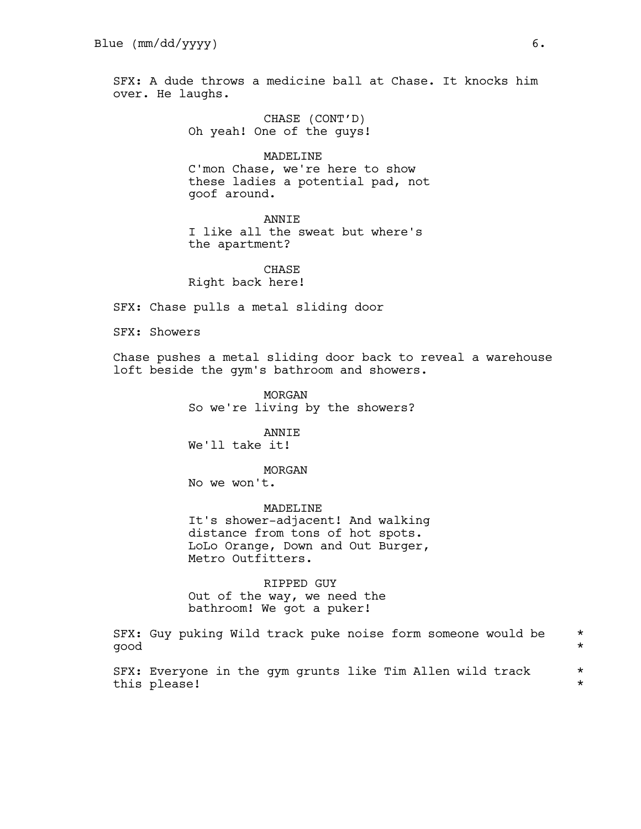SFX: A dude throws a medicine ball at Chase. It knocks him over. He laughs.

> CHASE (CONT'D) Oh yeah! One of the guys!

MADELINE C'mon Chase, we're here to show these ladies a potential pad, not goof around.

**ANNTE** I like all the sweat but where's the apartment?

**CHASE** Right back here!

SFX: Chase pulls a metal sliding door

SFX: Showers

Chase pushes a metal sliding door back to reveal a warehouse loft beside the gym's bathroom and showers.

> MORGAN So we're living by the showers?

ANNIE We'll take it!

MORGAN

No we won't.

MADELINE It's shower-adjacent! And walking distance from tons of hot spots. LoLo Orange, Down and Out Burger, Metro Outfitters.

RIPPED GUY Out of the way, we need the bathroom! We got a puker!

SFX: Guy puking Wild track puke noise form someone would be \* good \*

SFX: Everyone in the gym grunts like Tim Allen wild track  $*$ this please! \*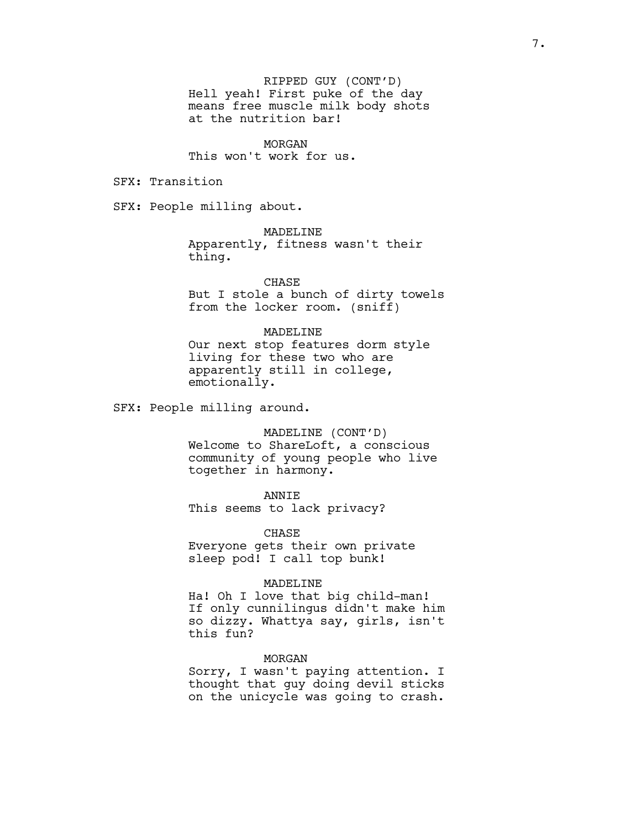RIPPED GUY (CONT'D) Hell yeah! First puke of the day means free muscle milk body shots at the nutrition bar!

MORGAN This won't work for us.

SFX: Transition

SFX: People milling about.

MADELINE Apparently, fitness wasn't their thing.

CHASE But I stole a bunch of dirty towels from the locker room. (sniff)

### MADELINE

Our next stop features dorm style living for these two who are apparently still in college, emotionally.

SFX: People milling around.

MADELINE (CONT'D)

Welcome to ShareLoft, a conscious community of young people who live together in harmony.

ANNIE

This seems to lack privacy?

CHASE Everyone gets their own private sleep pod! I call top bunk!

#### MADELINE

Ha! Oh I love that big child-man! If only cunnilingus didn't make him so dizzy. Whattya say, girls, isn't this fun?

### MORGAN

Sorry, I wasn't paying attention. I thought that guy doing devil sticks on the unicycle was going to crash.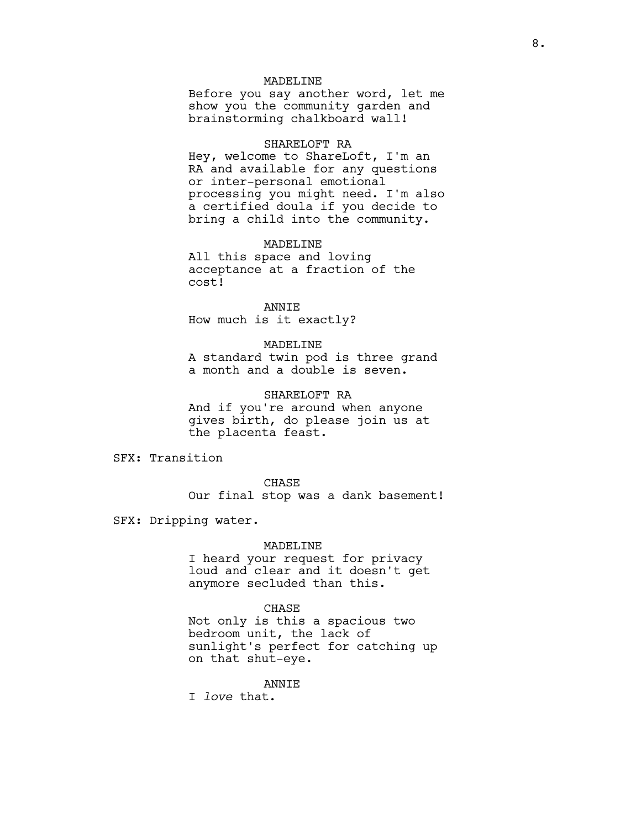### MADELINE

Before you say another word, let me show you the community garden and brainstorming chalkboard wall!

### SHARELOFT RA

Hey, welcome to ShareLoft, I'm an RA and available for any questions or inter-personal emotional processing you might need. I'm also a certified doula if you decide to bring a child into the community.

### MADELINE

All this space and loving acceptance at a fraction of the cost!

ANNIE How much is it exactly?

#### MADELINE

A standard twin pod is three grand a month and a double is seven.

#### SHARELOFT RA

And if you're around when anyone gives birth, do please join us at the placenta feast.

SFX: Transition

CHASE Our final stop was a dank basement!

SFX: Dripping water.

### MADELINE

I heard your request for privacy loud and clear and it doesn't get anymore secluded than this.

### CHASE

Not only is this a spacious two bedroom unit, the lack of sunlight's perfect for catching up on that shut-eye.

### ANNIE

I *love* that.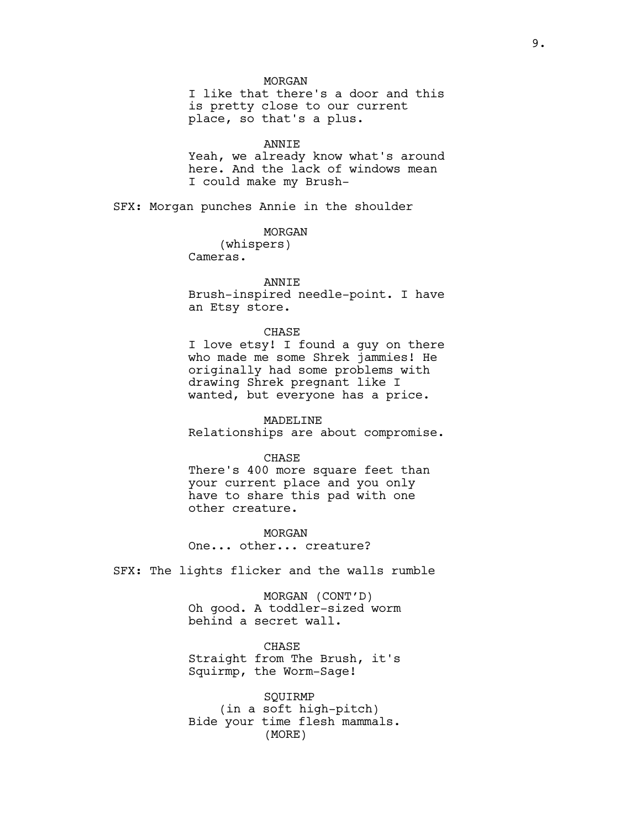MORGAN

I like that there's a door and this is pretty close to our current place, so that's a plus.

# ANNIE

Yeah, we already know what's around here. And the lack of windows mean I could make my Brush-

SFX: Morgan punches Annie in the shoulder

MORGAN

(whispers) Cameras.

# ANNIE

Brush-inspired needle-point. I have an Etsy store.

### CHASE

I love etsy! I found a guy on there who made me some Shrek jammies! He originally had some problems with drawing Shrek pregnant like I wanted, but everyone has a price.

MADELINE Relationships are about compromise.

CHASE

There's 400 more square feet than your current place and you only have to share this pad with one other creature.

MORGAN One... other... creature?

SFX: The lights flicker and the walls rumble

MORGAN (CONT'D) Oh good. A toddler-sized worm behind a secret wall.

CHASE Straight from The Brush, it's Squirmp, the Worm-Sage!

SQUIRMP (in a soft high-pitch) Bide your time flesh mammals. (MORE)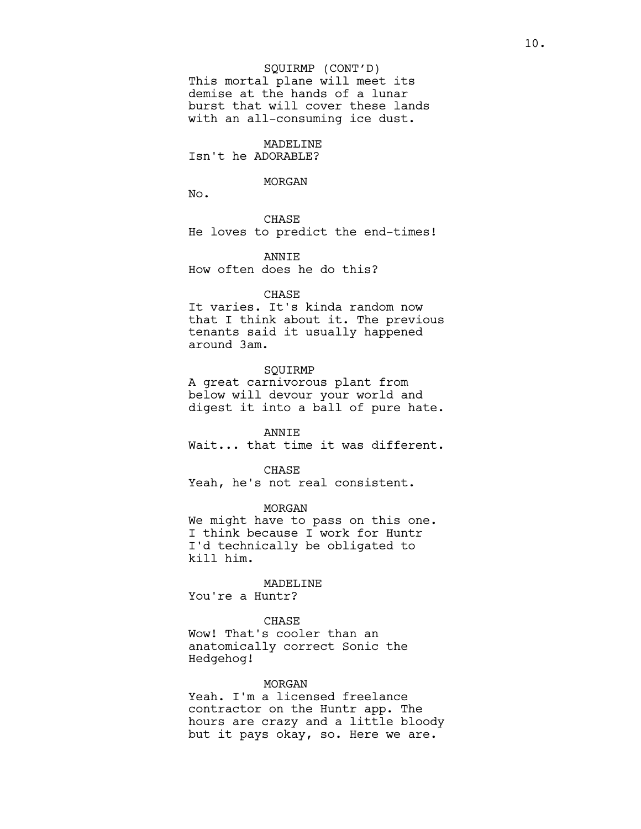#### SQUIRMP (CONT'D)

This mortal plane will meet its demise at the hands of a lunar burst that will cover these lands with an all-consuming ice dust.

# MADELINE

Isn't he ADORABLE?

#### MORGAN

No.

CHASE He loves to predict the end-times!

ANNIE How often does he do this?

#### CHASE

It varies. It's kinda random now that I think about it. The previous tenants said it usually happened around 3am.

#### SQUIRMP

A great carnivorous plant from below will devour your world and digest it into a ball of pure hate.

# ANNIE

Wait... that time it was different.

CHASE

Yeah, he's not real consistent.

MORGAN

We might have to pass on this one. I think because I work for Huntr I'd technically be obligated to kill him.

### MADELINE

You're a Huntr?

### CHASE

Wow! That's cooler than an anatomically correct Sonic the Hedgehog!

### MORGAN

Yeah. I'm a licensed freelance contractor on the Huntr app. The hours are crazy and a little bloody but it pays okay, so. Here we are.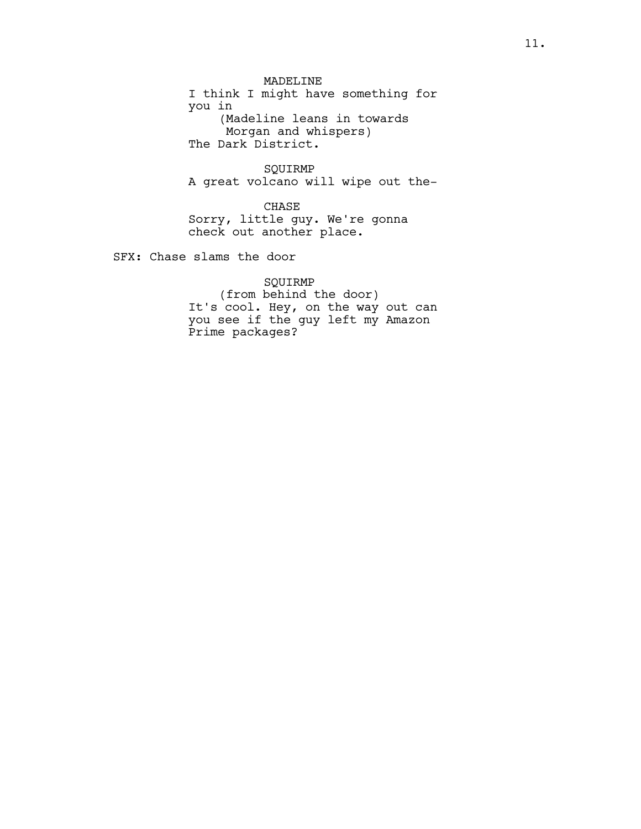MADELINE I think I might have something for you in (Madeline leans in towards Morgan and whispers) The Dark District.

SQUIRMP A great volcano will wipe out the-

CHASE Sorry, little guy. We're gonna check out another place.

SFX: Chase slams the door

# SQUIRMP

(from behind the door) It's cool. Hey, on the way out can you see if the guy left my Amazon Prime packages?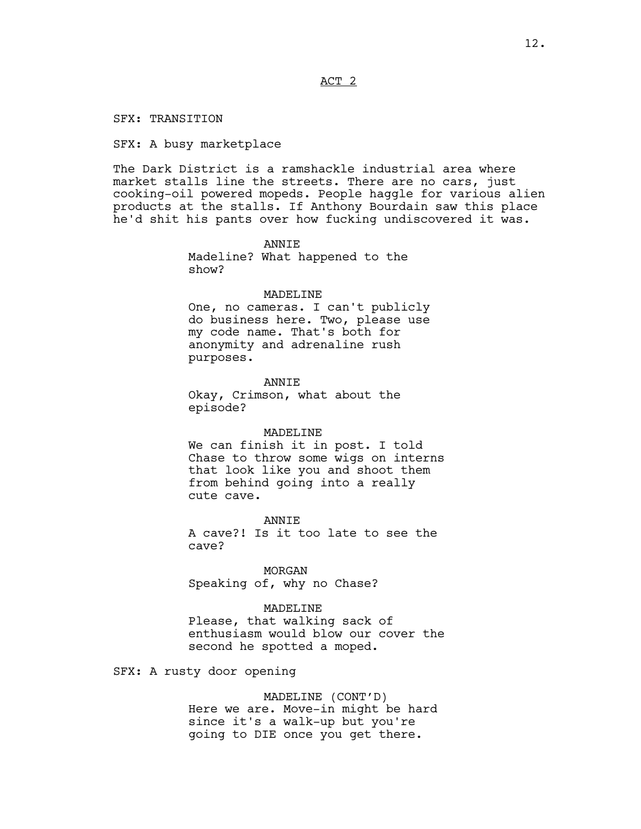ACT 2

SFX: TRANSITION

SFX: A busy marketplace

The Dark District is a ramshackle industrial area where market stalls line the streets. There are no cars, just cooking-oil powered mopeds. People haggle for various alien products at the stalls. If Anthony Bourdain saw this place he'd shit his pants over how fucking undiscovered it was.

> **ANNTE** Madeline? What happened to the show?

#### MADELINE

One, no cameras. I can't publicly do business here. Two, please use my code name. That's both for anonymity and adrenaline rush purposes.

**ANNTE** Okay, Crimson, what about the episode?

#### MADELINE

We can finish it in post. I told Chase to throw some wigs on interns that look like you and shoot them from behind going into a really cute cave.

**ANNTE** A cave?! Is it too late to see the cave?

MORGAN Speaking of, why no Chase?

MADELINE

Please, that walking sack of enthusiasm would blow our cover the second he spotted a moped.

SFX: A rusty door opening

MADELINE (CONT'D) Here we are. Move-in might be hard since it's a walk-up but you're going to DIE once you get there.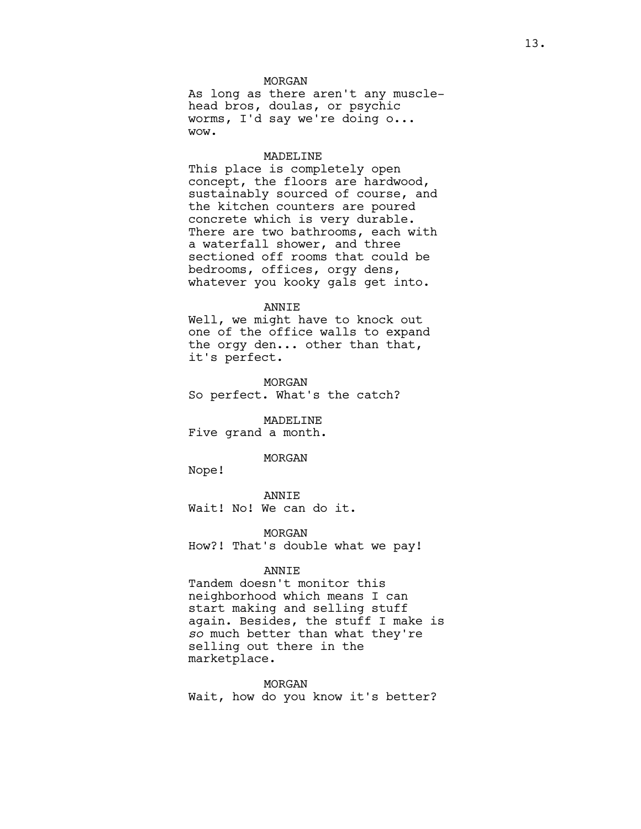### MORGAN

As long as there aren't any musclehead bros, doulas, or psychic worms, I'd say we're doing o... wow.

#### MADELINE

This place is completely open concept, the floors are hardwood, sustainably sourced of course, and the kitchen counters are poured concrete which is very durable. There are two bathrooms, each with a waterfall shower, and three sectioned off rooms that could be bedrooms, offices, orgy dens, whatever you kooky gals get into.

#### ANNIE

Well, we might have to knock out one of the office walls to expand the orgy den... other than that, it's perfect.

MORGAN So perfect. What's the catch?

MADELINE Five grand a month.

#### MORGAN

Nope!

ANNIE Wait! No! We can do it.

MORGAN How?! That's double what we pay!

#### ANNIE

Tandem doesn't monitor this neighborhood which means I can start making and selling stuff again. Besides, the stuff I make is *so* much better than what they're selling out there in the marketplace.

MORGAN

Wait, how do you know it's better?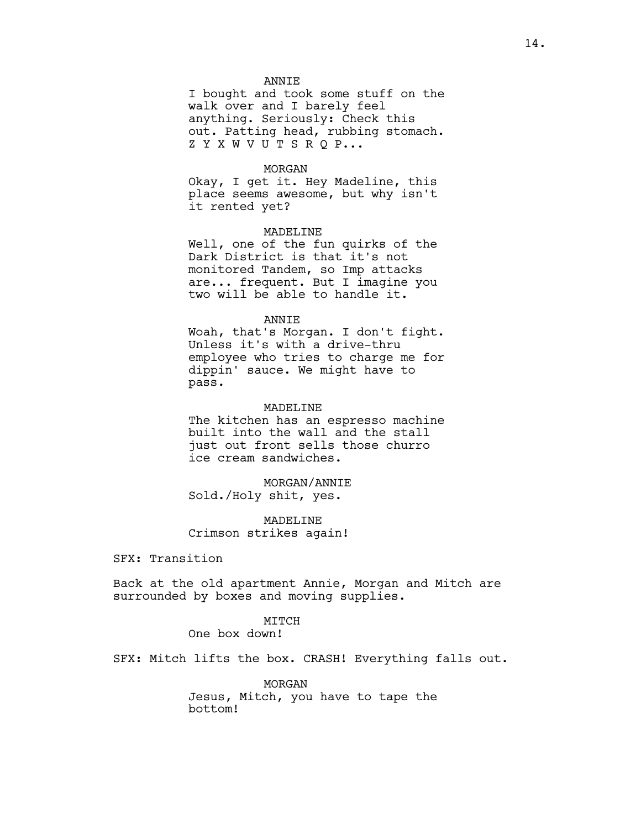### ANNIE

I bought and took some stuff on the walk over and I barely feel anything. Seriously: Check this out. Patting head, rubbing stomach. Z Y X W V U T S R Q P...

### MORGAN

Okay, I get it. Hey Madeline, this place seems awesome, but why isn't it rented yet?

### MADELINE

Well, one of the fun quirks of the Dark District is that it's not monitored Tandem, so Imp attacks are... frequent. But I imagine you two will be able to handle it.

### ANNIE

Woah, that's Morgan. I don't fight. Unless it's with a drive-thru employee who tries to charge me for dippin' sauce. We might have to pass.

### MADELINE

The kitchen has an espresso machine built into the wall and the stall just out front sells those churro ice cream sandwiches.

MORGAN/ANNIE Sold./Holy shit, yes.

MADELINE Crimson strikes again!

SFX: Transition

Back at the old apartment Annie, Morgan and Mitch are surrounded by boxes and moving supplies.

# MITCH

One box down!

SFX: Mitch lifts the box. CRASH! Everything falls out.

MORGAN Jesus, Mitch, you have to tape the bottom!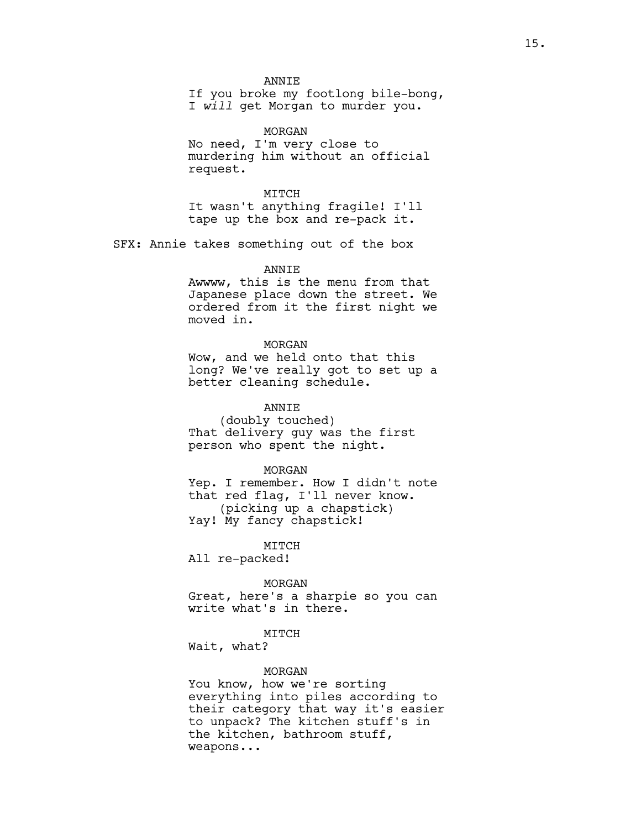**ANNTE** 

If you broke my footlong bile-bong, I *will* get Morgan to murder you.

MORGAN No need, I'm very close to murdering him without an official request.

MITCH It wasn't anything fragile! I'll tape up the box and re-pack it.

SFX: Annie takes something out of the box

ANNIE

Awwww, this is the menu from that Japanese place down the street. We ordered from it the first night we moved in.

#### MORGAN

Wow, and we held onto that this long? We've really got to set up a better cleaning schedule.

ANNIE

(doubly touched) That delivery guy was the first person who spent the night.

MORGAN

Yep. I remember. How I didn't note that red flag, I'll never know. (picking up a chapstick) Yay! My fancy chapstick!

MITCH

All re-packed!

MORGAN

Great, here's a sharpie so you can write what's in there.

### MITCH

Wait, what?

#### MORGAN

You know, how we're sorting everything into piles according to their category that way it's easier to unpack? The kitchen stuff's in the kitchen, bathroom stuff, weapons...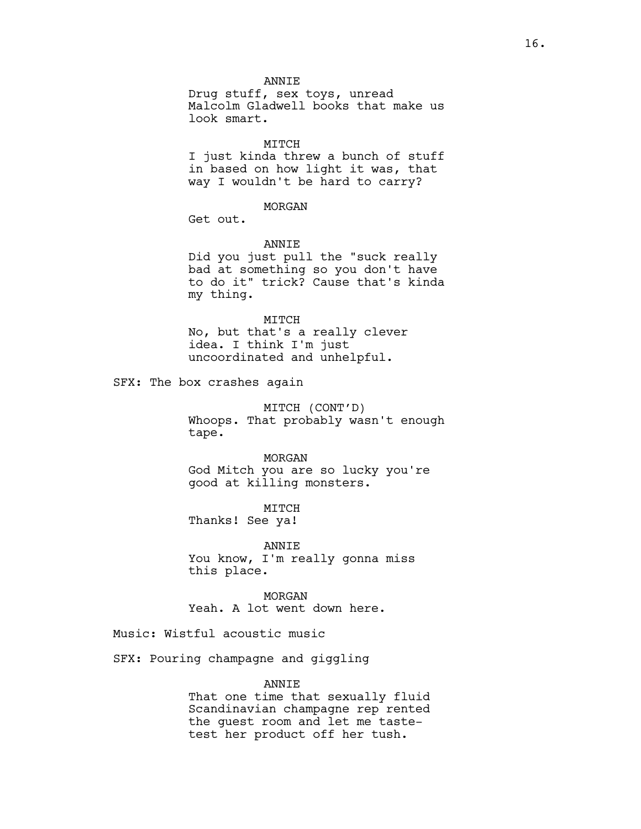**ANNTE** 

Drug stuff, sex toys, unread Malcolm Gladwell books that make us look smart.

### MITCH

I just kinda threw a bunch of stuff in based on how light it was, that way I wouldn't be hard to carry?

#### MORGAN

Get out.

#### ANNIE

Did you just pull the "suck really bad at something so you don't have to do it" trick? Cause that's kinda my thing.

MITCH No, but that's a really clever idea. I think I'm just uncoordinated and unhelpful.

SFX: The box crashes again

MITCH (CONT'D) Whoops. That probably wasn't enough tape.

MORGAN God Mitch you are so lucky you're good at killing monsters.

MITCH Thanks! See ya!

ANNIE You know, I'm really gonna miss this place.

MORGAN Yeah. A lot went down here.

Music: Wistful acoustic music

SFX: Pouring champagne and giggling

### ANNIE

That one time that sexually fluid Scandinavian champagne rep rented the guest room and let me tastetest her product off her tush.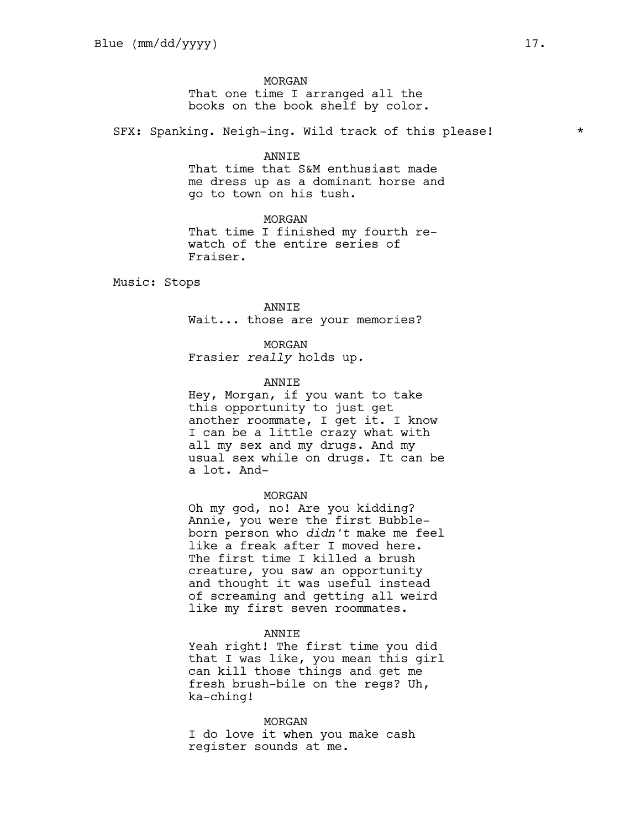MORGAN That one time I arranged all the books on the book shelf by color.

SFX: Spanking. Neigh-ing. Wild track of this please!  $*$ 

#### ANNIE

That time that S&M enthusiast made me dress up as a dominant horse and go to town on his tush.

#### MORGAN

That time I finished my fourth rewatch of the entire series of Fraiser.

Music: Stops

#### ANNIE

Wait... those are your memories?

#### MORGAN

Frasier *really* holds up*.*

### **ANNTE**

Hey, Morgan, if you want to take this opportunity to just get another roommate, I get it. I know I can be a little crazy what with all my sex and my drugs. And my usual sex while on drugs. It can be a lot. And-

### MORGAN

Oh my god, no! Are you kidding? Annie, you were the first Bubbleborn person who *didn't* make me feel like a freak after I moved here. The first time I killed a brush creature, you saw an opportunity and thought it was useful instead of screaming and getting all weird like my first seven roommates.

#### ANNIE

Yeah right! The first time you did that I was like, you mean this girl can kill those things and get me fresh brush-bile on the regs? Uh, ka-ching!

### MORGAN

I do love it when you make cash register sounds at me.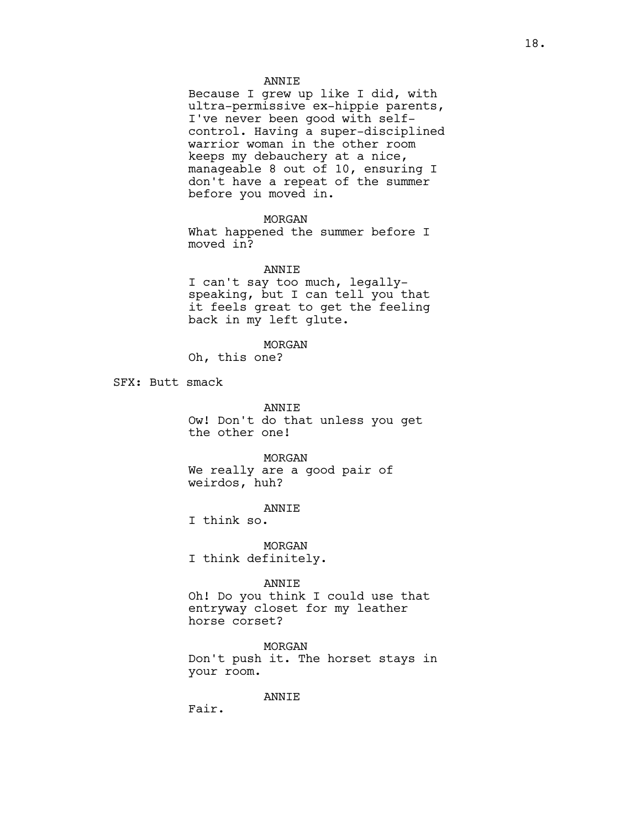### ANNIE

Because I grew up like I did, with ultra-permissive ex-hippie parents, I've never been good with selfcontrol. Having a super-disciplined warrior woman in the other room keeps my debauchery at a nice, manageable 8 out of 10, ensuring I don't have a repeat of the summer before you moved in.

### MORGAN

What happened the summer before I moved in?

### ANNIE

I can't say too much, legallyspeaking, but I can tell you that it feels great to get the feeling back in my left glute.

#### MORGAN

Oh, this one?

SFX: Butt smack

ANNIE Ow! Don't do that unless you get the other one!

#### MORGAN

We really are a good pair of weirdos, huh?

#### ANNIE

I think so.

MORGAN I think definitely.

### ANNIE

Oh! Do you think I could use that entryway closet for my leather horse corset?

MORGAN Don't push it. The horset stays in your room.

### ANNIE

Fair.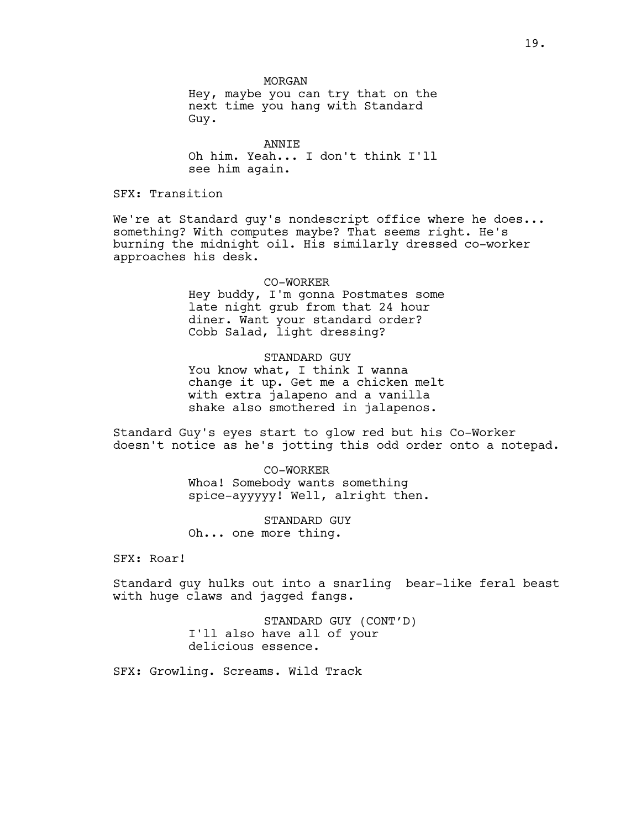MORGAN

Hey, maybe you can try that on the next time you hang with Standard Guy.

ANNIE Oh him. Yeah... I don't think I'll see him again.

SFX: Transition

We're at Standard guy's nondescript office where he does... something? With computes maybe? That seems right. He's burning the midnight oil. His similarly dressed co-worker approaches his desk.

> CO-WORKER Hey buddy, I'm gonna Postmates some late night grub from that 24 hour diner. Want your standard order? Cobb Salad, light dressing?

> STANDARD GUY You know what, I think I wanna change it up. Get me a chicken melt with extra jalapeno and a vanilla shake also smothered in jalapenos.

Standard Guy's eyes start to glow red but his Co-Worker doesn't notice as he's jotting this odd order onto a notepad.

> CO-WORKER Whoa! Somebody wants something spice-ayyyyy! Well, alright then.

STANDARD GUY Oh... one more thing.

SFX: Roar!

Standard guy hulks out into a snarling bear-like feral beast with huge claws and jagged fangs.

> STANDARD GUY (CONT'D) I'll also have all of your delicious essence.

SFX: Growling. Screams. Wild Track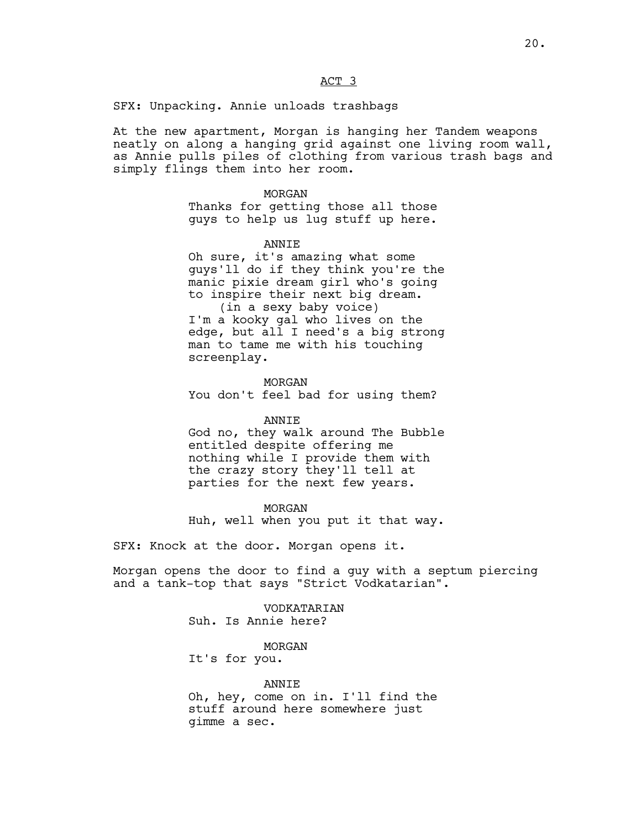ACT 3

SFX: Unpacking. Annie unloads trashbags

At the new apartment, Morgan is hanging her Tandem weapons neatly on along a hanging grid against one living room wall, as Annie pulls piles of clothing from various trash bags and simply flings them into her room.

> MORGAN Thanks for getting those all those guys to help us lug stuff up here.

> > ANNIE

Oh sure, it's amazing what some guys'll do if they think you're the manic pixie dream girl who's going to inspire their next big dream. (in a sexy baby voice)

I'm a kooky gal who lives on the edge, but all I need's a big strong man to tame me with his touching screenplay.

MORGAN You don't feel bad for using them?

# ANNIE

God no, they walk around The Bubble entitled despite offering me nothing while I provide them with the crazy story they'll tell at parties for the next few years.

MORGAN Huh, well when you put it that way.

SFX: Knock at the door. Morgan opens it.

Morgan opens the door to find a guy with a septum piercing and a tank-top that says "Strict Vodkatarian".

> VODKATARIAN Suh. Is Annie here?

> > MORGAN

It's for you.

ANNIE Oh, hey, come on in. I'll find the stuff around here somewhere just gimme a sec.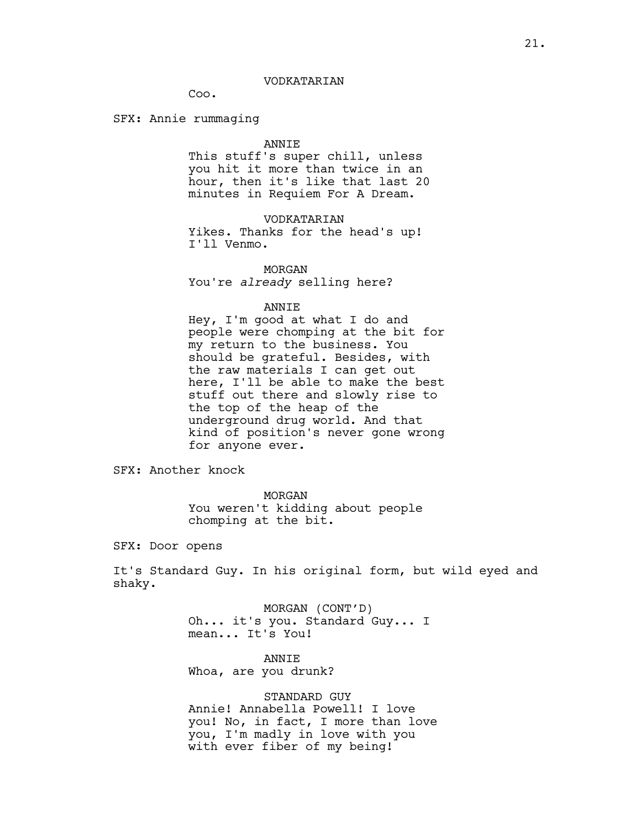### VODKATARIAN

Coo.

SFX: Annie rummaging

#### ANNIE

This stuff's super chill, unless you hit it more than twice in an hour, then it's like that last 20 minutes in Requiem For A Dream.

VODKATARIAN

Yikes. Thanks for the head's up! I'll Venmo.

MORGAN You're *already* selling here?

#### ANNIE

Hey, I'm good at what I do and people were chomping at the bit for my return to the business. You should be grateful. Besides, with the raw materials I can get out here, I'll be able to make the best stuff out there and slowly rise to the top of the heap of the underground drug world. And that kind of position's never gone wrong for anyone ever.

SFX: Another knock

MORGAN You weren't kidding about people chomping at the bit.

SFX: Door opens

It's Standard Guy. In his original form, but wild eyed and shaky.

> MORGAN (CONT'D) Oh... it's you. Standard Guy... I mean... It's You!

ANNIE Whoa, are you drunk?

STANDARD GUY Annie! Annabella Powell! I love you! No, in fact, I more than love you, I'm madly in love with you with ever fiber of my being!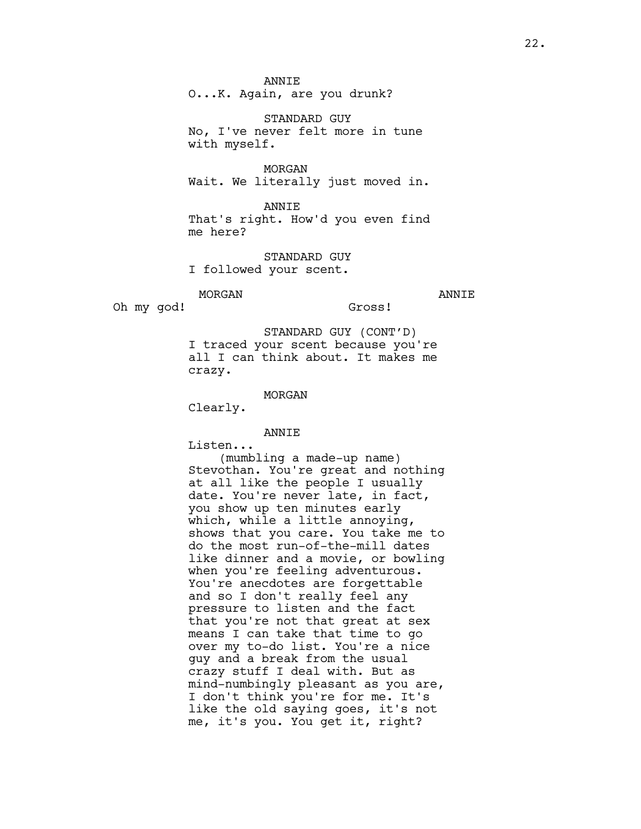ANNIE

O...K. Again, are you drunk?

STANDARD GUY No, I've never felt more in tune with myself.

MORGAN Wait. We literally just moved in.

ANNIE That's right. How'd you even find me here?

STANDARD GUY I followed your scent.

MORGAN

ANNIE

Oh my god!

Gross!

STANDARD GUY (CONT'D) I traced your scent because you're all I can think about. It makes me crazy.

MORGAN

Clearly.

### ANNIE

Listen...

(mumbling a made-up name) Stevothan. You're great and nothing at all like the people I usually date. You're never late, in fact, you show up ten minutes early which, while a little annoying, shows that you care. You take me to do the most run-of-the-mill dates like dinner and a movie, or bowling when you're feeling adventurous. You're anecdotes are forgettable and so I don't really feel any pressure to listen and the fact that you're not that great at sex means I can take that time to go over my to-do list. You're a nice guy and a break from the usual crazy stuff I deal with. But as mind-numbingly pleasant as you are, I don't think you're for me. It's like the old saying goes, it's not me, it's you. You get it, right?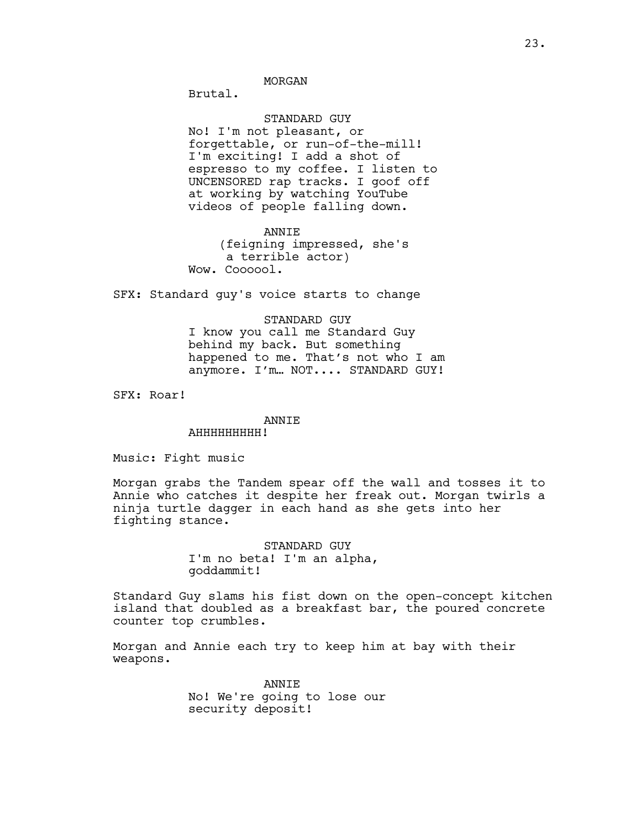Brutal.

# STANDARD GUY

No! I'm not pleasant, or forgettable, or run-of-the-mill! I'm exciting! I add a shot of espresso to my coffee. I listen to UNCENSORED rap tracks. I goof off at working by watching YouTube videos of people falling down.

ANNIE (feigning impressed, she's a terrible actor) Wow. Coooool.

SFX: Standard guy's voice starts to change

# STANDARD GUY I know you call me Standard Guy behind my back. But something happened to me. That's not who I am anymore. I'm… NOT.... STANDARD GUY!

SFX: Roar!

### ANNIE

### AHHHHHHHHH!

Music: Fight music

Morgan grabs the Tandem spear off the wall and tosses it to Annie who catches it despite her freak out. Morgan twirls a ninja turtle dagger in each hand as she gets into her fighting stance.

> STANDARD GUY I'm no beta! I'm an alpha, goddammit!

Standard Guy slams his fist down on the open-concept kitchen island that doubled as a breakfast bar, the poured concrete counter top crumbles.

Morgan and Annie each try to keep him at bay with their weapons.

> **ANNTE** No! We're going to lose our security deposit!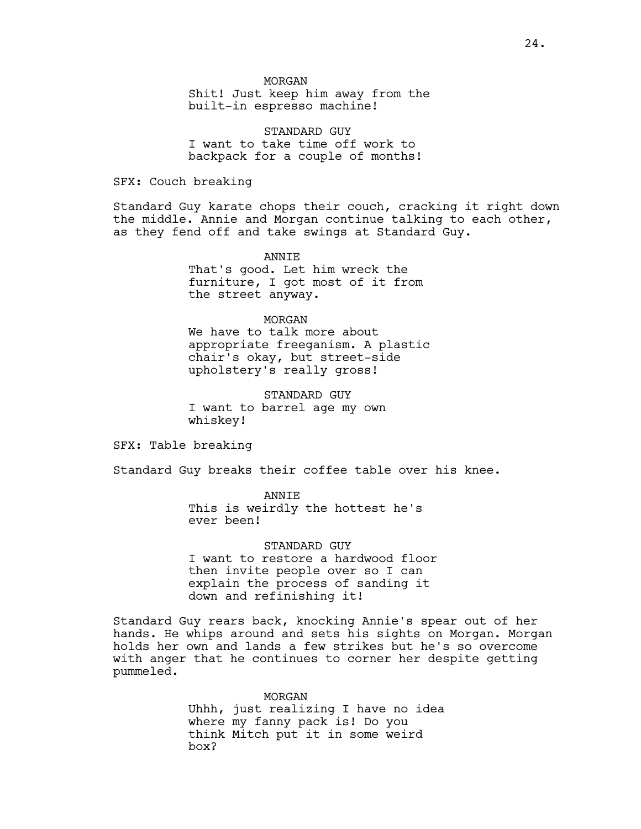Shit! Just keep him away from the built-in espresso machine!

STANDARD GUY I want to take time off work to backpack for a couple of months!

SFX: Couch breaking

Standard Guy karate chops their couch, cracking it right down the middle. Annie and Morgan continue talking to each other, as they fend off and take swings at Standard Guy.

> ANNIE That's good. Let him wreck the furniture, I got most of it from the street anyway.

#### MORGAN

We have to talk more about appropriate freeganism. A plastic chair's okay, but street-side upholstery's really gross!

STANDARD GUY I want to barrel age my own whiskey!

SFX: Table breaking

Standard Guy breaks their coffee table over his knee.

ANNIE This is weirdly the hottest he's ever been!

STANDARD GUY I want to restore a hardwood floor then invite people over so I can explain the process of sanding it down and refinishing it!

Standard Guy rears back, knocking Annie's spear out of her hands. He whips around and sets his sights on Morgan. Morgan holds her own and lands a few strikes but he's so overcome with anger that he continues to corner her despite getting pummeled.

> MORGAN Uhhh, just realizing I have no idea where my fanny pack is! Do you think Mitch put it in some weird box?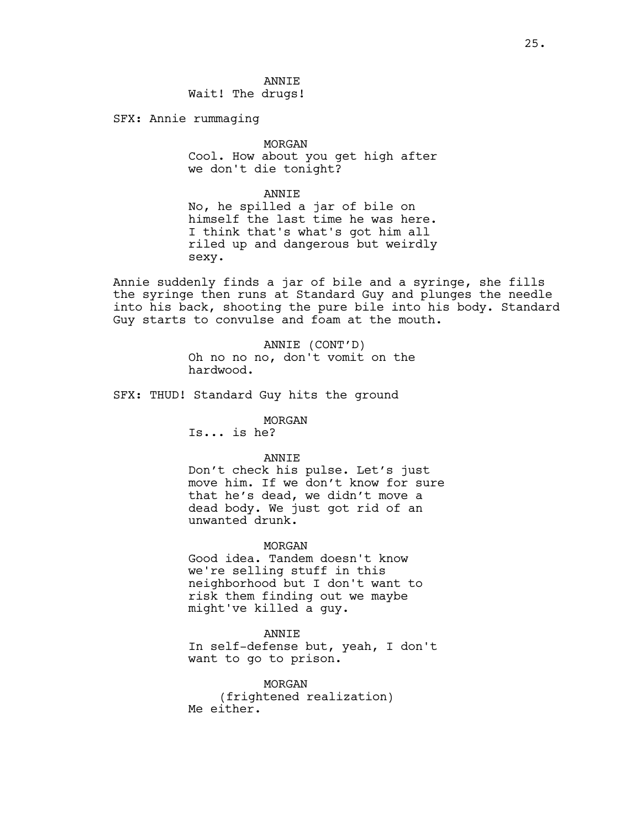SFX: Annie rummaging

# MORGAN

Cool. How about you get high after we don't die tonight?

ANNIE

No, he spilled a jar of bile on himself the last time he was here. I think that's what's got him all riled up and dangerous but weirdly sexy.

Annie suddenly finds a jar of bile and a syringe, she fills the syringe then runs at Standard Guy and plunges the needle into his back, shooting the pure bile into his body. Standard Guy starts to convulse and foam at the mouth.

> ANNIE (CONT'D) Oh no no no, don't vomit on the hardwood.

SFX: THUD! Standard Guy hits the ground

### MORGAN

Is... is he?

### ANNIE

Don't check his pulse. Let's just move him. If we don't know for sure that he's dead, we didn't move a dead body. We just got rid of an unwanted drunk.

### MORGAN

Good idea. Tandem doesn't know we're selling stuff in this neighborhood but I don't want to risk them finding out we maybe might've killed a guy.

#### ANNIE

In self-defense but, yeah, I don't want to go to prison.

MORGAN (frightened realization) Me either.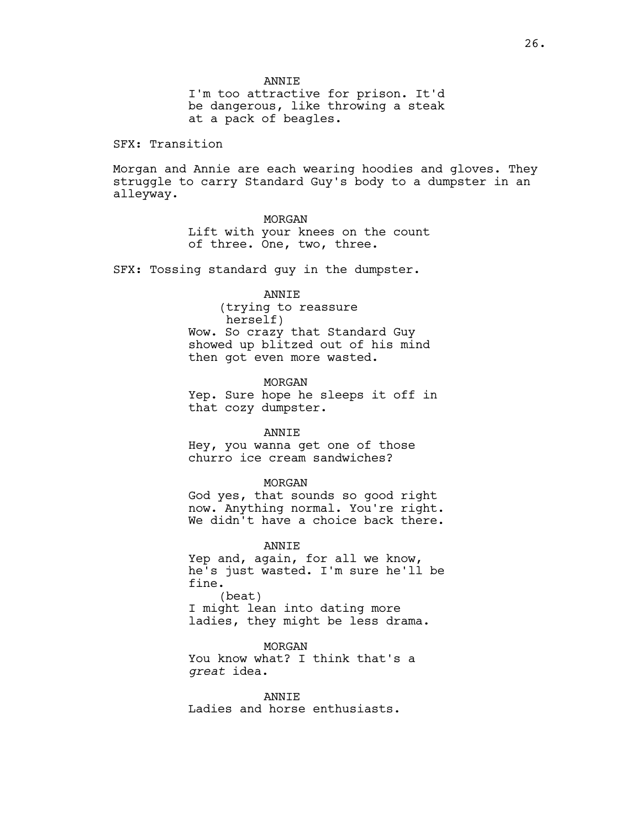I'm too attractive for prison. It'd be dangerous, like throwing a steak at a pack of beagles.

SFX: Transition

Morgan and Annie are each wearing hoodies and gloves. They struggle to carry Standard Guy's body to a dumpster in an alleyway.

#### MORGAN

Lift with your knees on the count of three. One, two, three.

SFX: Tossing standard guy in the dumpster.

### ANNIE

(trying to reassure herself) Wow. So crazy that Standard Guy showed up blitzed out of his mind then got even more wasted.

MORGAN Yep. Sure hope he sleeps it off in that cozy dumpster.

#### ANNIE

Hey, you wanna get one of those churro ice cream sandwiches?

#### MORGAN

God yes, that sounds so good right now. Anything normal. You're right. We didn't have a choice back there.

ANNIE

Yep and, again, for all we know, he's just wasted. I'm sure he'll be fine. (beat) I might lean into dating more ladies, they might be less drama.

MORGAN You know what? I think that's a *great* idea.

ANNIE Ladies and horse enthusiasts.